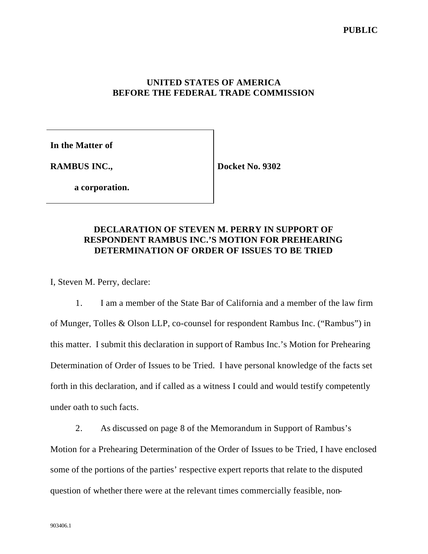## **UNITED STATES OF AMERICA BEFORE THE FEDERAL TRADE COMMISSION**

**In the Matter of**

**RAMBUS INC.,**

**Docket No. 9302**

**a corporation.**

## **DECLARATION OF STEVEN M. PERRY IN SUPPORT OF RESPONDENT RAMBUS INC.'S MOTION FOR PREHEARING DETERMINATION OF ORDER OF ISSUES TO BE TRIED**

I, Steven M. Perry, declare:

1. I am a member of the State Bar of California and a member of the law firm of Munger, Tolles & Olson LLP, co-counsel for respondent Rambus Inc. ("Rambus") in this matter. I submit this declaration in support of Rambus Inc.'s Motion for Prehearing Determination of Order of Issues to be Tried. I have personal knowledge of the facts set forth in this declaration, and if called as a witness I could and would testify competently under oath to such facts.

2. As discussed on page 8 of the Memorandum in Support of Rambus's Motion for a Prehearing Determination of the Order of Issues to be Tried, I have enclosed some of the portions of the parties' respective expert reports that relate to the disputed question of whether there were at the relevant times commercially feasible, non